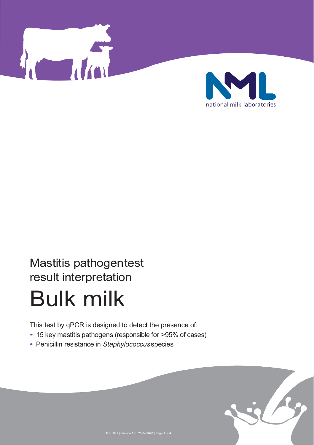



# Mastitis pathogen test result interpretation

# Bulk milk

This test by qPCR is designed to detect the presence of:

- 15 key mastitis pathogens (responsible for >95% of cases)
- Penicillin resistance in *Staphylococcus* species

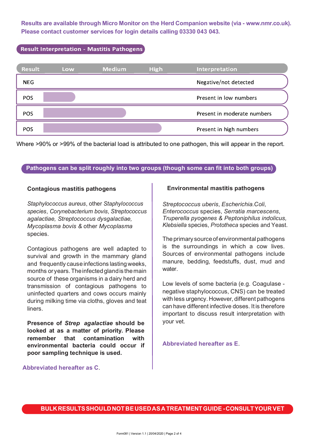**Results are available through Micro Monitor on the Herd Companion website (via - www.nmr.co.uk). Please contact customer services for login details calling 03330 043 043.**

# **Result Interpretation - Mastitis Pathogens**



Where >90% or >99% of the bacterial load is attributed to one pathogen, this will appear in the report.

# **Pathogens can be split roughly into two groups (though some can fit into both groups)**

#### **Contagious mastitis pathogens**

*Staphylococcus aureus*, other *Staphylococcus species*, *Corynebacterium bovis*, *Streptococcus agalactiae, Streptococcus dysgalactiae, Mycoplasma bovis &* other *Mycoplasma*  species.

Contagious pathogens are well adapted to survival and growth in the mammary gland and frequently cause infections lasting weeks, months or years. The infected gland is the main source of these organisms in a dairy herd and transmission of contagious pathogens to uninfected quarters and cows occurs mainly during milking time via cloths, gloves and teat liners.

**Presence of** *Strep agalactiae* **should be looked at as a matter of priority. Please remember that contamination with environmental bacteria could occur if poor sampling technique is used.**

### **Environmental mastitis pathogens**

*Streptococcus uberis*, *Escherichia.Coli*, *Enterococcus* species, *Serratia marcescens*, *Truperella pyogenes & Peptoniphilus indolicus, Klebsiella* species, *Prototheca* species and Yeast.

The primary source of environmental pathogens is the surroundings in which a cow lives. Sources of environmental pathogens include manure, bedding, feedstuffs, dust, mud and water

Low levels of some bacteria (e.g. Coagulase negative staphylococcus, CNS) can be treated with less urgency. However, different pathogens can have different infective doses. It is therefore important to discuss result interpretation with your vet.

**Abbreviated hereafter as E**.

**Abbreviated hereafter as C**.

**BULK RESULTS SHOULD NOT BE USED AS A TREATMENT GUIDE - CONSULT YOUR VET**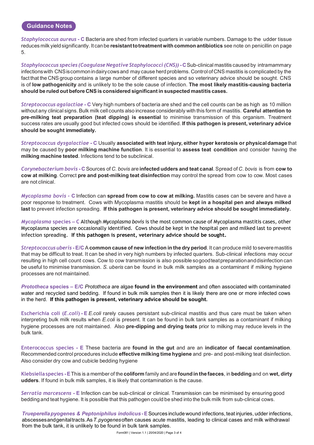#### **Guidance Notes**

*Staphylococcus aureus* **- C** Bacteria are shed from infected quarters in variable numbers. Damage to the udder tissue reduces milk yield significantly. It can be **resistant to treatment with common antibiotics** see note on penicillin on page 5.

*Staphylococcus species (Coagulase Negative Staphylococci (CNS)) - C Sub-clinical mastitis caused by intramammary* infections with CNS is common in dairy cows and may cause herd problems. Control of CNS mastitis is complicated by the fact that the CNS group contains a large number of different species and so veterinary advice should be sought. CNS is of **low pathogenicity** and is unlikely to be the sole cause of infection. **The most likely mastitis-causing bacteria should be ruled out before CNS is considered significant in suspected mastitis cases.**

*Streptococcus agalactiae* **- C** Very high numbers of bacteria are shed and the cell counts can be as high as 10 million without any clinical signs. Bulk milk cell counts also increase considerably with this form of mastitis. **Careful attention to pre-milking teat preparation (teat dipping) is essential** to minimise transmission of this organism. Treatment success rates are usually good but infected cows should be identified. **If this pathogen is present, veterinary advice should be sought immediately.**

*Streptococcus dysgalactiae* **- C** Usually **associated with teat injury, either hyper keratosis or physical damage** that may be caused by **poor milking machine function**. It is essential to **assess teat condition** and consider having the **milking machine tested**. Infections tend to be subclinical.

*Corynebacterium bovis* **- C** Sources of *C. bovis* are **infected udders and teat canal**. Spread of *C. bovis* is from **cow to cow at milking**. Correct **pre and post-milking teat disinfection** may control the spread from cow to cow. Most cases are not clinical.

*Mycoplasma bovis -* **C** Infection can **spread from cow to cow at milking.** Mastitis cases can be severe and have a poor response to treatment. Cows with Mycoplasma mastitis should be **kept in a hospital pen and always milked last** to prevent infection spreading. **If this pathogen is present, veterinary advice should be sought immediately.**

*Mycoplasma* **species – C** Although *Mycoplasma bovis* is the most common cause of Mycoplasma mastitis cases, other Mycoplasma species are occasionally identified. Cows should be kept in the hospital pen and milked last to prevent infection spreading. **If this pathogen is present, veterinary advice should be sought.**

*Streptococcus uberis* **- E/C** A **common cause of new infection in the dry period**. It can produce mild to severe mastitis that may be difficult to treat. It can be shed in very high numbers by infected quarters. Sub-clinical infections may occur resulting in high cell count cows. Cow to cow transmission is also possible so good teat preparation and disinfection can be useful to minimise transmission. *S. uberis* can be found in bulk milk samples as a contaminant if milking hygiene processes are not maintained.

*Prototheca* **species – E/C** *Prototheca* are algae **found in the environment** and often associated with contaminated water and recycled sand bedding. If found in bulk milk samples then it is likely there are one or more infected cows in the herd. **If this pathogen is present, veterinary advice should be sought.** 

**Escherichia coli (***E.coli***) - E** *E.coli* rarely causes persistant sub-clinical mastitis and thus care must be taken when interpreting bulk milk results when *E.coli* is present. It can be found in bulk tank samples as a contaminant if milking hygiene processes are not maintained. Also **pre-dipping and drying teats** prior to milking may reduce levels in the bulk tank.

**Enterococcus species - E** These bacteria are **found in the gut** and are an **indicator of faecal contamination**. Recommended control procedures include **effective milking time hygiene** and pre- and post-milking teat disinfection. Also consider dry cow and cubicle bedding hygiene

**Klebsiellaspecies - E** This is a member of the **coliform** family and are **found in the faeces**, in **bedding** and on **wet, dirty udders**. If found in bulk milk samples, it is likely that contamination is the cause.

*Serratia marcescens* **- E** Infection can be sub-clinical or clinical. Transmission can be minimised by ensuring good bedding and teat hygiene. It is possible that this pathogen could be shed into the bulk milk from sub-clinical cows.

*Trueperella pyogenes & Peptoniphilus indolicus - E Sources include wound infections, teat injuries, udder infections,* abscesses and genital tracts. As *T. pyogenes* often causes acute mastitis, leading to clinical cases and milk withdrawal from the bulk tank, it is unlikely to be found in bulk tank samples.